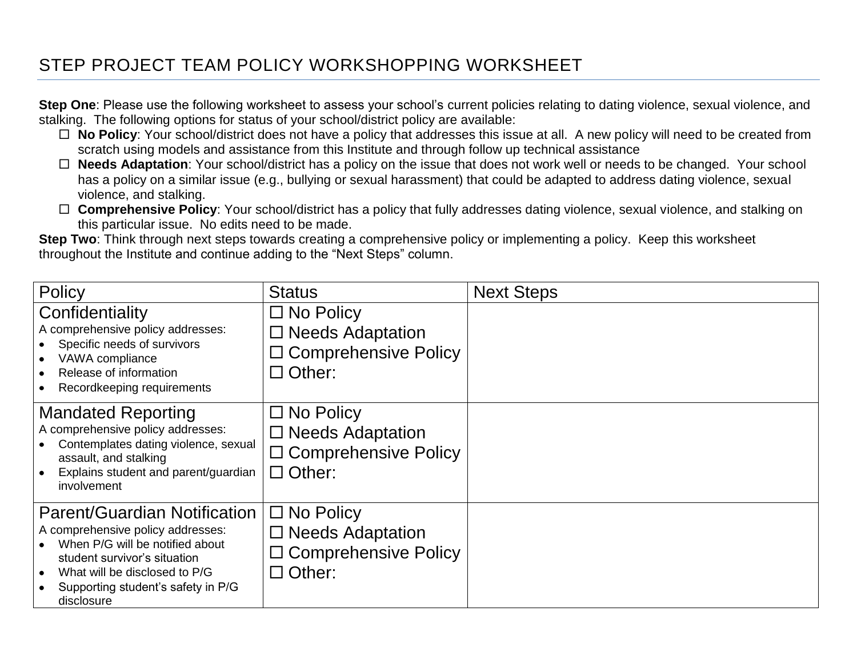## STEP PROJECT TEAM POLICY WORKSHOPPING WORKSHEET

**Step One**: Please use the following worksheet to assess your school's current policies relating to dating violence, sexual violence, and stalking. The following options for status of your school/district policy are available:

- □ **No Policy**: Your school/district does not have a policy that addresses this issue at all. A new policy will need to be created from scratch using models and assistance from this Institute and through follow up technical assistance
- **Needs Adaptation**: Your school/district has a policy on the issue that does not work well or needs to be changed. Your school has a policy on a similar issue (e.g., bullying or sexual harassment) that could be adapted to address dating violence, sexual violence, and stalking.
- □ **Comprehensive Policy**: Your school/district has a policy that fully addresses dating violence, sexual violence, and stalking on this particular issue. No edits need to be made.

**Step Two**: Think through next steps towards creating a comprehensive policy or implementing a policy. Keep this worksheet throughout the Institute and continue adding to the "Next Steps" column.

| Policy                                                                                                                                                                                                                                        | <b>Status</b>                                                                                  | <b>Next Steps</b> |
|-----------------------------------------------------------------------------------------------------------------------------------------------------------------------------------------------------------------------------------------------|------------------------------------------------------------------------------------------------|-------------------|
| Confidentiality<br>A comprehensive policy addresses:<br>Specific needs of survivors<br>VAWA compliance<br>$\bullet$<br>Release of information<br>$\bullet$<br>Recordkeeping requirements<br>$\bullet$                                         | $\square$ No Policy<br>$\Box$ Needs Adaptation<br>$\Box$ Comprehensive Policy<br>$\Box$ Other: |                   |
| <b>Mandated Reporting</b><br>A comprehensive policy addresses:<br>Contemplates dating violence, sexual<br>assault, and stalking<br>Explains student and parent/guardian<br>involvement                                                        | $\Box$ No Policy<br>$\Box$ Needs Adaptation<br>$\Box$ Comprehensive Policy<br>$\Box$ Other:    |                   |
| <b>Parent/Guardian Notification</b><br>A comprehensive policy addresses:<br>When P/G will be notified about<br>student survivor's situation<br>What will be disclosed to P/G<br>$\bullet$<br>Supporting student's safety in P/G<br>disclosure | $\Box$ No Policy<br>$\Box$ Needs Adaptation<br>□ Comprehensive Policy<br>$\Box$ Other:         |                   |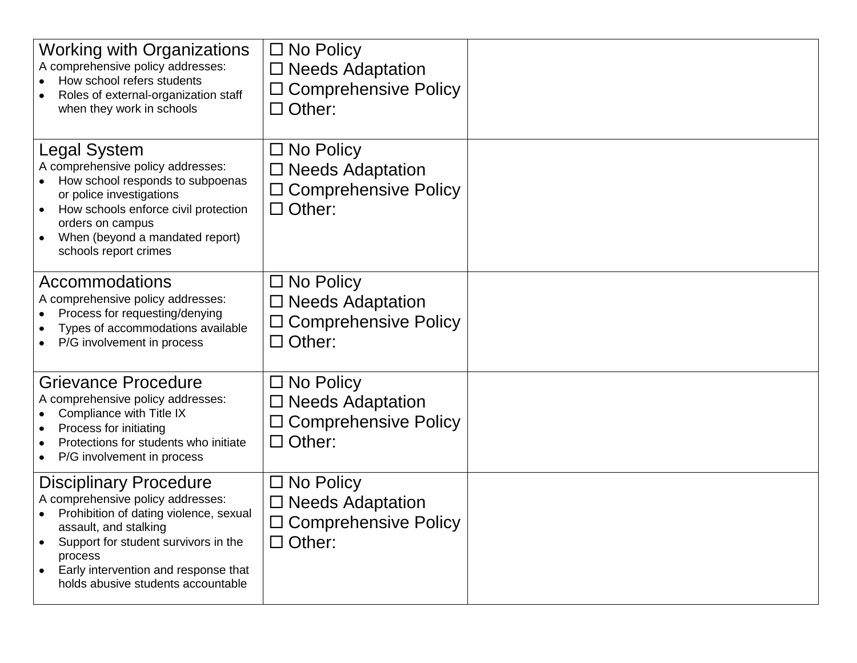| <b>Working with Organizations</b><br>A comprehensive policy addresses:<br>How school refers students<br>Roles of external-organization staff<br>when they work in schools                                                                                              | $\square$ No Policy<br>$\Box$ Needs Adaptation<br>$\Box$ Comprehensive Policy<br>$\Box$ Other: |  |
|------------------------------------------------------------------------------------------------------------------------------------------------------------------------------------------------------------------------------------------------------------------------|------------------------------------------------------------------------------------------------|--|
| Legal System<br>A comprehensive policy addresses:<br>How school responds to subpoenas<br>or police investigations<br>How schools enforce civil protection<br>orders on campus<br>When (beyond a mandated report)<br>schools report crimes                              | $\Box$ No Policy<br>$\Box$ Needs Adaptation<br>□ Comprehensive Policy<br>$\Box$ Other:         |  |
| Accommodations<br>A comprehensive policy addresses:<br>Process for requesting/denying<br>Types of accommodations available<br>P/G involvement in process                                                                                                               | $\square$ No Policy<br>□ Needs Adaptation<br>$\Box$ Comprehensive Policy<br>$\Box$ Other:      |  |
| <b>Grievance Procedure</b><br>A comprehensive policy addresses:<br>Compliance with Title IX<br>Process for initiating<br>Protections for students who initiate<br>P/G involvement in process<br>٠                                                                      | $\Box$ No Policy<br>$\Box$ Needs Adaptation<br>$\Box$ Comprehensive Policy<br>$\Box$ Other:    |  |
| <b>Disciplinary Procedure</b><br>A comprehensive policy addresses:<br>Prohibition of dating violence, sexual<br>assault, and stalking<br>Support for student survivors in the<br>process<br>Early intervention and response that<br>holds abusive students accountable | $\Box$ No Policy<br>$\square$ Needs Adaptation<br>$\Box$ Comprehensive Policy<br>$\Box$ Other: |  |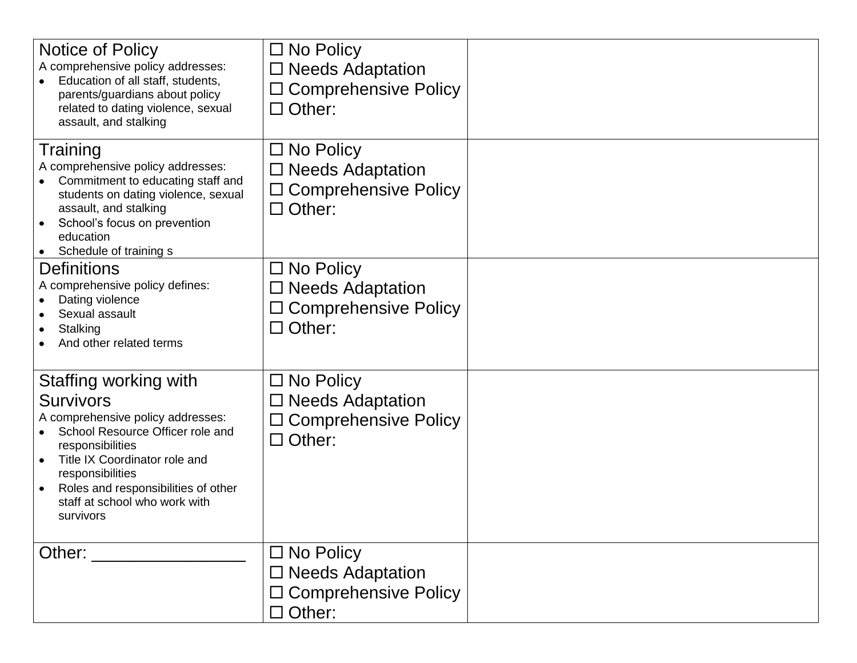| Notice of Policy<br>A comprehensive policy addresses:<br>Education of all staff, students,<br>parents/guardians about policy<br>related to dating violence, sexual<br>assault, and stalking                                                                               | $\Box$ No Policy<br>$\Box$ Needs Adaptation<br>$\Box$ Comprehensive Policy<br>$\Box$ Other: |  |
|---------------------------------------------------------------------------------------------------------------------------------------------------------------------------------------------------------------------------------------------------------------------------|---------------------------------------------------------------------------------------------|--|
| Training<br>A comprehensive policy addresses:<br>Commitment to educating staff and<br>students on dating violence, sexual<br>assault, and stalking<br>School's focus on prevention<br>education<br>Schedule of training s                                                 | $\Box$ No Policy<br>$\Box$ Needs Adaptation<br>$\Box$ Comprehensive Policy<br>$\Box$ Other: |  |
| <b>Definitions</b><br>A comprehensive policy defines:<br>Dating violence<br>Sexual assault<br>Stalking<br>And other related terms                                                                                                                                         | $\Box$ No Policy<br>$\Box$ Needs Adaptation<br>$\Box$ Comprehensive Policy<br>$\Box$ Other: |  |
| Staffing working with<br>Survivors<br>A comprehensive policy addresses:<br>School Resource Officer role and<br>responsibilities<br>Title IX Coordinator role and<br>responsibilities<br>Roles and responsibilities of other<br>staff at school who work with<br>survivors | $\Box$ No Policy<br>$\Box$ Needs Adaptation<br>$\Box$ Comprehensive Policy<br>$\Box$ Other: |  |
| Other: $\_\_$                                                                                                                                                                                                                                                             | $\Box$ No Policy<br>$\Box$ Needs Adaptation<br>□ Comprehensive Policy<br>$\Box$ Other:      |  |